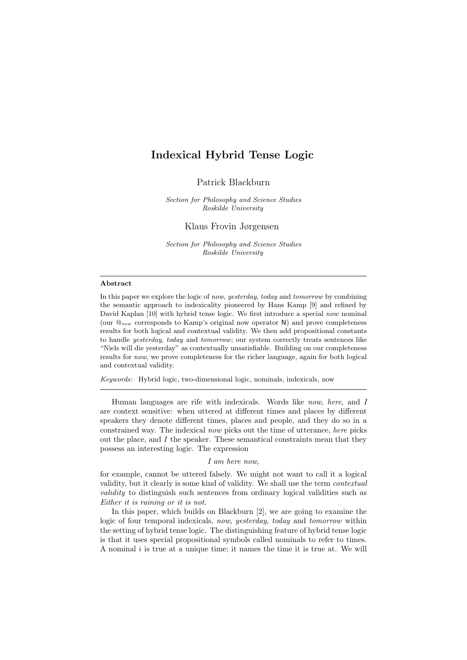Patrick Blackburn

Section for Philosophy and Science Studies Roskilde University

Klaus Frovin Jørgensen

Section for Philosophy and Science Studies Roskilde University

#### Abstract

In this paper we explore the logic of now, yesterday, today and tomorrow by combining the semantic approach to indexicality pioneered by Hans Kamp [\[9\]](#page-14-0) and refined by David Kaplan [\[10\]](#page-14-1) with hybrid tense logic. We first introduce a special now nominal (our  $\mathbb{Q}_{now}$  corresponds to Kamp's original now operator N) and prove completeness results for both logical and contextual validity. We then add propositional constants to handle yesterday, today and tomorrow; our system correctly treats sentences like "Niels will die yesterday" as contextually unsatisfiable. Building on our completeness results for now, we prove completeness for the richer language, again for both logical and contextual validity.

Keywords: Hybrid logic, two-dimensional logic, nominals, indexicals, now

Human languages are rife with indexicals. Words like now, here, and I are context sensitive: when uttered at different times and places by different speakers they denote different times, places and people, and they do so in a constrained way. The indexical now picks out the time of utterance, here picks out the place, and  $I$  the speaker. These semantical constraints mean that they possess an interesting logic. The expression

#### I am here now,

for example, cannot be uttered falsely. We might not want to call it a logical validity, but it clearly is some kind of validity. We shall use the term contextual validity to distinguish such sentences from ordinary logical validities such as Either it is raining or it is not.

In this paper, which builds on Blackburn [\[2\]](#page-14-2), we are going to examine the logic of four temporal indexicals, now, yesterday, today and tomorrow within the setting of hybrid tense logic. The distinguishing feature of hybrid tense logic is that it uses special propositional symbols called nominals to refer to times. A nominal  $i$  is true at a unique time; it names the time it is true at. We will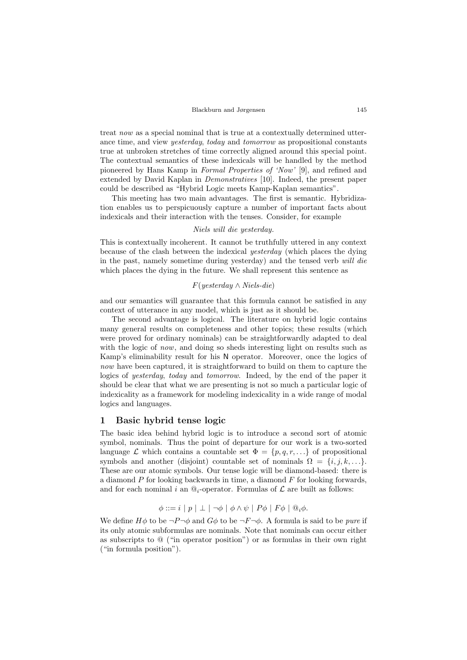#### Blackburn and Jørgensen 145

treat now as a special nominal that is true at a contextually determined utterance time, and view yesterday, today and tomorrow as propositional constants true at unbroken stretches of time correctly aligned around this special point. The contextual semantics of these indexicals will be handled by the method pioneered by Hans Kamp in Formal Properties of 'Now' [\[9\]](#page-14-0), and refined and extended by David Kaplan in Demonstratives [\[10\]](#page-14-1). Indeed, the present paper could be described as "Hybrid Logic meets Kamp-Kaplan semantics".

This meeting has two main advantages. The first is semantic. Hybridization enables us to perspicuously capture a number of important facts about indexicals and their interaction with the tenses. Consider, for example

#### Niels will die yesterday.

This is contextually incoherent. It cannot be truthfully uttered in any context because of the clash between the indexical yesterday (which places the dying in the past, namely sometime during yesterday) and the tensed verb will die which places the dying in the future. We shall represent this sentence as

## F(yesterday ∧ Niels-die)

and our semantics will guarantee that this formula cannot be satisfied in any context of utterance in any model, which is just as it should be.

The second advantage is logical. The literature on hybrid logic contains many general results on completeness and other topics; these results (which were proved for ordinary nominals) can be straightforwardly adapted to deal with the logic of *now*, and doing so sheds interesting light on results such as Kamp's eliminability result for his N operator. Moreover, once the logics of now have been captured, it is straightforward to build on them to capture the logics of yesterday, today and tomorrow. Indeed, by the end of the paper it should be clear that what we are presenting is not so much a particular logic of indexicality as a framework for modeling indexicality in a wide range of modal logics and languages.

## 1 Basic hybrid tense logic

The basic idea behind hybrid logic is to introduce a second sort of atomic symbol, nominals. Thus the point of departure for our work is a two-sorted language  $\mathcal L$  which contains a countable set  $\Phi = \{p, q, r, ...\}$  of propositional symbols and another (disjoint) countable set of nominals  $\Omega = \{i, j, k, \ldots\}$ . These are our atomic symbols. Our tense logic will be diamond-based: there is a diamond  $P$  for looking backwards in time, a diamond  $F$  for looking forwards, and for each nominal i an  $\mathbb{Q}_i$ -operator. Formulas of  $\mathcal L$  are built as follows:

$$
\phi ::= i \mid p \mid \bot \mid \neg \phi \mid \phi \land \psi \mid P\phi \mid F\phi \mid @_{i}\phi.
$$

We define  $H\phi$  to be  $\neg P\neg \phi$  and  $G\phi$  to be  $\neg F\neg \phi$ . A formula is said to be *pure* if its only atomic subformulas are nominals. Note that nominals can occur either as subscripts to @ ("in operator position") or as formulas in their own right ("in formula position").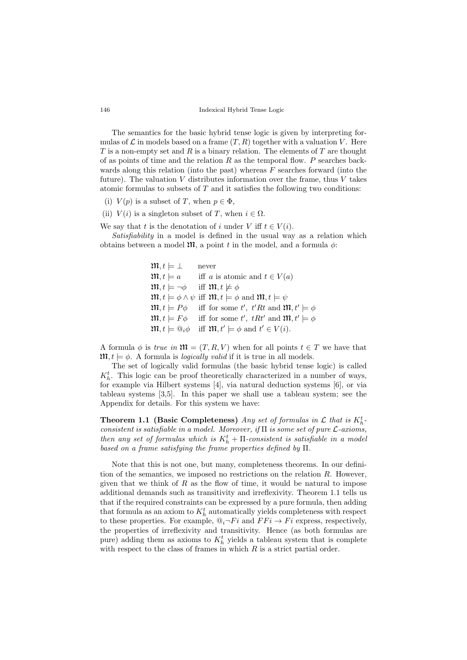The semantics for the basic hybrid tense logic is given by interpreting formulas of  $\mathcal L$  in models based on a frame  $(T, R)$  together with a valuation V. Here  $T$  is a non-empty set and  $R$  is a binary relation. The elements of  $T$  are thought of as points of time and the relation  $R$  as the temporal flow.  $P$  searches backwards along this relation (into the past) whereas  $F$  searches forward (into the future). The valuation  $V$  distributes information over the frame, thus  $V$  takes atomic formulas to subsets of  $T$  and it satisfies the following two conditions:

- (i)  $V(p)$  is a subset of T, when  $p \in \Phi$ ,
- (ii)  $V(i)$  is a singleton subset of T, when  $i \in \Omega$ .
- We say that t is the denotation of i under V iff  $t \in V(i)$ .

Satisfiability in a model is defined in the usual way as a relation which obtains between a model  $\mathfrak{m}$ , a point t in the model, and a formula  $\phi$ :

```
\mathfrak{m}, t \models \bot never
\mathfrak{M}, t \models a iff a is atomic and t \in V(a)m, t \models \neg \phi iff m, t \not\models \phi\mathfrak{m}, t \models \phi \land \psi \text{ iff } \mathfrak{m}, t \models \phi \text{ and } \mathfrak{m}, t \models \psi\mathfrak{M}, t \models P\phi iff for some t', t'Rt and \mathfrak{M}, t' \models \phi\mathfrak{M}, t \models F\phi iff for some t', tRt' and \mathfrak{M}, t' \models \phi\mathfrak{M}, t \models \mathbb{Q}_i \phi \text{ iff } \mathfrak{M}, t' \models \phi \text{ and } t' \in V(i).
```
A formula  $\phi$  is true in  $\mathfrak{M} = (T, R, V)$  when for all points  $t \in T$  we have that  $\mathfrak{m}, t \models \phi$ . A formula is *logically valid* if it is true in all models.

The set of logically valid formulas (the basic hybrid tense logic) is called  $K_h^t$ . This logic can be proof theoretically characterized in a number of ways, for example via Hilbert systems [\[4\]](#page-14-3), via natural deduction systems [\[6\]](#page-14-4), or via tableau systems [\[3,](#page-14-5)[5\]](#page-14-6). In this paper we shall use a tableau system; see the Appendix for details. For this system we have:

<span id="page-2-0"></span>**Theorem 1.1 (Basic Completeness)** Any set of formulas in  $\mathcal{L}$  that is  $K_h^t$ . consistent is satisfiable in a model. Moreover, if  $\Pi$  is some set of pure  $\mathcal L$ -axioms, then any set of formulas which is  $K_h^t$  +  $\Pi$ -consistent is satisfiable in a model based on a frame satisfying the frame properties defined by Π.

Note that this is not one, but many, completeness theorems. In our definition of the semantics, we imposed no restrictions on the relation  $R$ . However, given that we think of  $R$  as the flow of time, it would be natural to impose additional demands such as transitivity and irreflexivity. Theorem [1.1](#page-2-0) tells us that if the required constraints can be expressed by a pure formula, then adding that formula as an axiom to  $K_h^t$  automatically yields completeness with respect to these properties. For example,  $\mathbb{Q}_i \neg Fi$  and  $FFi \to Fi$  express, respectively, the properties of irreflexivity and transitivity. Hence (as both formulas are pure) adding them as axioms to  $K_h^t$  yields a tableau system that is complete with respect to the class of frames in which  $R$  is a strict partial order.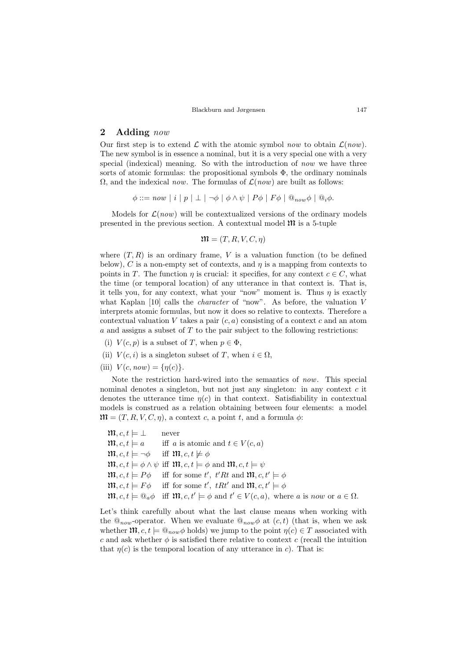## 2 Adding now

Our first step is to extend  $\mathcal L$  with the atomic symbol now to obtain  $\mathcal L(now)$ . The new symbol is in essence a nominal, but it is a very special one with a very special (indexical) meaning. So with the introduction of now we have three sorts of atomic formulas: the propositional symbols  $\Phi$ , the ordinary nominals  $\Omega$ , and the indexical now. The formulas of  $\mathcal{L}(now)$  are built as follows:

 $\phi ::= now \mid i \mid p \mid \perp \mid \neg \phi \mid \phi \wedge \psi \mid P\phi \mid F\phi \mid @_{now}\phi \mid @_{i}\phi.$ 

Models for  $\mathcal{L}(now)$  will be contextualized versions of the ordinary models presented in the previous section. A contextual model  $\mathfrak{M}$  is a 5-tuple

$$
\mathfrak{M} = (T, R, V, C, \eta)
$$

where  $(T, R)$  is an ordinary frame, V is a valuation function (to be defined below), C is a non-empty set of contexts, and  $\eta$  is a mapping from contexts to points in T. The function  $\eta$  is crucial: it specifies, for any context  $c \in C$ , what the time (or temporal location) of any utterance in that context is. That is, it tells you, for any context, what your "now" moment is. Thus  $n$  is exactly what Kaplan [\[10\]](#page-14-1) calls the character of "now". As before, the valuation V interprets atomic formulas, but now it does so relative to contexts. Therefore a contextual valuation V takes a pair  $(c, a)$  consisting of a context c and an atom  $a$  and assigns a subset of  $T$  to the pair subject to the following restrictions:

- (i)  $V(c, p)$  is a subset of T, when  $p \in \Phi$ ,
- (ii)  $V(c, i)$  is a singleton subset of T, when  $i \in \Omega$ ,
- (iii)  $V(c, now) = \{\eta(c)\}.$

Note the restriction hard-wired into the semantics of now. This special nominal denotes a singleton, but not just any singleton: in any context  $c$  it denotes the utterance time  $\eta(c)$  in that context. Satisfiability in contextual models is construed as a relation obtaining between four elements: a model  $\mathfrak{M} = (T, R, V, C, \eta)$ , a context c, a point t, and a formula  $\phi$ :

 $\mathfrak{m}, c, t \models \bot$  never  $\mathfrak{M}, c, t \models a$  iff a is atomic and  $t \in V(c, a)$  $\mathfrak{m}$ ,  $c, t \models \neg \phi$  iff  $\mathfrak{m}$ ,  $c, t \not\models \phi$  $\mathfrak{m}, c, t \models \phi \land \psi \text{ iff } \mathfrak{m}, c, t \models \phi \text{ and } \mathfrak{m}, c, t \models \psi$  $\mathfrak{M}, c, t \models P\phi$  iff for some t', t'Rt and  $\mathfrak{M}, c, t' \models \phi$  $\mathfrak{M}, c, t \models F\phi$  iff for some t', tRt' and  $\mathfrak{M}, c, t' \models \phi$  $\mathfrak{M}, c, t \models \mathbb{Q}_a \phi \text{ iff } \mathfrak{M}, c, t' \models \phi \text{ and } t' \in V(c, a), \text{ where } a \text{ is now or } a \in \Omega.$ 

Let's think carefully about what the last clause means when working with the  $\mathcal{Q}_{now}$ -operator. When we evaluate  $\mathcal{Q}_{now}\phi$  at  $(c, t)$  (that is, when we ask whether  $\mathfrak{M}, c, t \models \mathbb{Q}_{now} \phi$  holds) we jump to the point  $\eta(c) \in T$  associated with c and ask whether  $\phi$  is satisfied there relative to context c (recall the intuition that  $\eta(c)$  is the temporal location of any utterance in c). That is: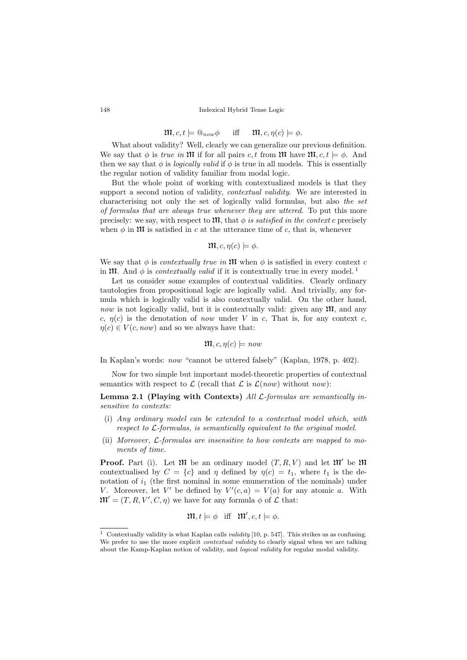$$
\mathfrak{m}, c, t \models \mathbb{Q}_{now} \phi \quad \text{iff} \quad \mathfrak{m}, c, \eta(c) \models \phi.
$$

What about validity? Well, clearly we can generalize our previous definition. We say that  $\phi$  is true in M if for all pairs c, t from M have  $\mathfrak{M}$ ,  $c, t \models \phi$ . And then we say that  $\phi$  is *logically valid* if  $\phi$  is true in all models. This is essentially the regular notion of validity familiar from modal logic.

But the whole point of working with contextualized models is that they support a second notion of validity, contextual validity. We are interested in characterising not only the set of logically valid formulas, but also the set of formulas that are always true whenever they are uttered. To put this more precisely: we say, with respect to  $\mathfrak{M}$ , that  $\phi$  is satisfied in the context c precisely when  $\phi$  in  $\mathfrak{M}$  is satisfied in c at the utterance time of c, that is, whenever

$$
\mathfrak{m}, c, \eta(c) \models \phi.
$$

We say that  $\phi$  is *contextually true in*  $\mathfrak{M}$  when  $\phi$  is satisfied in every context c in  $\mathfrak{M}$ . And  $\phi$  is *contextually valid* if it is contextually true in every model.<sup>[1](#page-4-0)</sup>

Let us consider some examples of contextual validities. Clearly ordinary tautologies from propositional logic are logically valid. And trivially, any formula which is logically valid is also contextually valid. On the other hand, now is not logically valid, but it is contextually valid: given any  $\mathfrak{M}$ , and any c,  $\eta(c)$  is the denotation of now under V in c, That is, for any context c,  $\eta(c) \in V(c, now)$  and so we always have that:

$$
\mathfrak{m},c,\eta(c)\models\mathit{now}
$$

In Kaplan's words: now "cannot be uttered falsely" (Kaplan, 1978, p. 402).

Now for two simple but important model-theoretic properties of contextual semantics with respect to  $\mathcal L$  (recall that  $\mathcal L$  is  $\mathcal L(now)$  without now):

<span id="page-4-3"></span>Lemma 2.1 (Playing with Contexts) All L-formulas are semantically insensitive to contexts:

- <span id="page-4-1"></span>(i) Any ordinary model can be extended to a contextual model which, with respect to L-formulas, is semantically equivalent to the original model.
- <span id="page-4-2"></span>(ii) Moreover, L-formulas are insensitive to how contexts are mapped to moments of time.

**Proof.** Part [\(i\)](#page-4-1). Let  $\mathfrak{M}$  be an ordinary model  $(T, R, V)$  and let  $\mathfrak{M}'$  be  $\mathfrak{M}$ contextualised by  $C = \{c\}$  and  $\eta$  defined by  $\eta(c) = t_1$ , where  $t_1$  is the denotation of  $i_1$  (the first nominal in some enumeration of the nominals) under V. Moreover, let V' be defined by  $V'(c, a) = V(a)$  for any atomic a. With  $\mathfrak{M}' = (T, R, V', C, \eta)$  we have for any formula  $\phi$  of  $\mathcal L$  that:

$$
\mathfrak{m}, t \models \phi \quad \text{iff} \quad \mathfrak{m}', c, t \models \phi.
$$

<span id="page-4-0"></span><sup>&</sup>lt;sup>1</sup> Contextually validity is what Kaplan calls *validity* [\[10,](#page-14-1) p. 547]. This strikes us as confusing. We prefer to use the more explicit *contextual validity* to clearly signal when we are talking about the Kamp-Kaplan notion of validity, and logical validity for regular modal validity.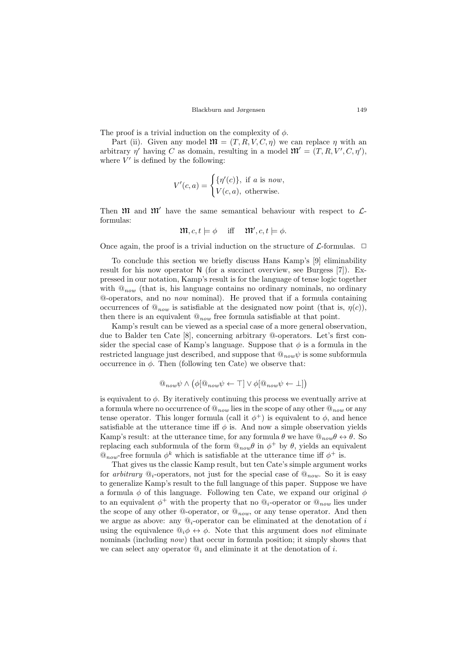The proof is a trivial induction on the complexity of  $\phi$ .

Part [\(ii\)](#page-4-2). Given any model  $\mathfrak{M} = (T, R, V, C, \eta)$  we can replace  $\eta$  with an arbitrary  $\eta'$  having C as domain, resulting in a model  $\mathfrak{M}' = (T, R, V', C, \eta')$ , where  $V'$  is defined by the following:

$$
V'(c,a) = \begin{cases} {\{\eta'(c)\}, \text{ if } a \text{ is now,} \\ V(c,a), \text{ otherwise.} \end{cases}
$$

Then  $\mathfrak{m}$  and  $\mathfrak{m}'$  have the same semantical behaviour with respect to  $\mathcal{L}$ formulas:

$$
\mathfrak{m}, c, t \models \phi \quad \text{iff} \quad \mathfrak{m}', c, t \models \phi.
$$

Once again, the proof is a trivial induction on the structure of  $\mathcal{L}$ -formulas.  $\Box$ 

To conclude this section we briefly discuss Hans Kamp's [\[9\]](#page-14-0) eliminability result for his now operator N (for a succinct overview, see Burgess [\[7\]](#page-14-7)). Expressed in our notation, Kamp's result is for the language of tense logic together with  $\mathbb{Q}_{now}$  (that is, his language contains no ordinary nominals, no ordinary @-operators, and no now nominal). He proved that if a formula containing occurrences of  $\mathbb{Q}_{now}$  is satisfiable at the designated now point (that is,  $\eta(c)$ ), then there is an equivalent  $@_{now}$  free formula satisfiable at that point.

Kamp's result can be viewed as a special case of a more general observation, due to Balder ten Cate [\[8\]](#page-14-8), concerning arbitrary @-operators. Let's first consider the special case of Kamp's language. Suppose that  $\phi$  is a formula in the restricted language just described, and suppose that  $\mathbb{Q}_{now}\psi$  is some subformula occurrence in  $\phi$ . Then (following ten Cate) we observe that:

$$
@_{now}\psi \wedge (\phi @_{now}\psi \leftarrow \top] \vee \phi @_{now}\psi \leftarrow \bot])
$$

is equivalent to  $\phi$ . By iteratively continuing this process we eventually arrive at a formula where no occurrence of  $\mathbb{Q}_{now}$  lies in the scope of any other  $\mathbb{Q}_{now}$  or any tense operator. This longer formula (call it  $\phi^+$ ) is equivalent to  $\phi$ , and hence satisfiable at the utterance time iff  $\phi$  is. And now a simple observation yields Kamp's result: at the utterance time, for any formula  $\theta$  we have  $\mathbb{Q}_{now}\theta \leftrightarrow \theta$ . So replacing each subformula of the form  $\mathbb{Q}_{now}\theta$  in  $\phi^+$  by  $\theta$ , yields an equivalent  $\mathcal{Q}_{now}$ -free formula  $\phi^k$  which is satisfiable at the utterance time iff  $\phi^+$  is.

That gives us the classic Kamp result, but ten Cate's simple argument works for arbitrary  $\mathbb{Q}_i$ -operators, not just for the special case of  $\mathbb{Q}_{now}$ . So it is easy to generalize Kamp's result to the full language of this paper. Suppose we have a formula  $\phi$  of this language. Following ten Cate, we expand our original  $\phi$ to an equivalent  $\phi^+$  with the property that no  $\mathbb{Q}_i$ -operator or  $\mathbb{Q}_{now}$  lies under the scope of any other  $@$ -operator, or  $@_{now}$ , or any tense operator. And then we argue as above: any  $\mathbb{Q}_i$ -operator can be eliminated at the denotation of i using the equivalence  $\mathbb{Q}_i \phi \leftrightarrow \phi$ . Note that this argument does not eliminate nominals (including *now*) that occur in formula position; it simply shows that we can select any operator  $\mathbb{Q}_i$  and eliminate it at the denotation of i.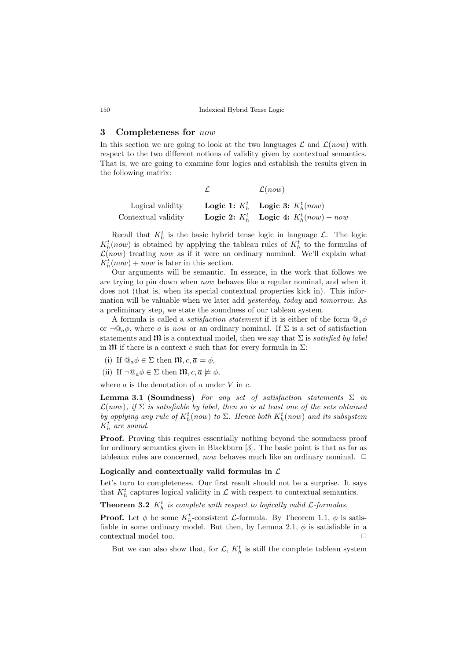## 3 Completeness for now

In this section we are going to look at the two languages  $\mathcal L$  and  $\mathcal L(now)$  with respect to the two different notions of validity given by contextual semantics. That is, we are going to examine four logics and establish the results given in the following matrix:

|                     | $\mathcal{L}(now)$                                         |
|---------------------|------------------------------------------------------------|
| Logical validity    | Logic 1: $K_h^t$ Logic 3: $K_h^t(now)$                     |
| Contextual validity | <b>Logic 2:</b> $K_b^t$ <b>Logic 4:</b> $K_b^t(now) + now$ |

Recall that  $K_h^t$  is the basic hybrid tense logic in language  $\mathcal{L}$ . The logic  $K_h^t$ (now) is obtained by applying the tableau rules of  $K_h^t$  to the formulas of  $\mathcal{L}(now)$  treating now as if it were an ordinary nominal. We'll explain what  $K_h^t(now) + now$  is later in this section.

Our arguments will be semantic. In essence, in the work that follows we are trying to pin down when now behaves like a regular nominal, and when it does not (that is, when its special contextual properties kick in). This information will be valuable when we later add yesterday, today and tomorrow. As a preliminary step, we state the soundness of our tableau system.

A formula is called a *satisfaction statement* if it is either of the form  $\mathbb{Q}_a \phi$ or  $\neg \mathbb{Q}_a \phi$ , where a is now or an ordinary nominal. If  $\Sigma$  is a set of satisfaction statements and  $\mathfrak{M}$  is a contextual model, then we say that  $\Sigma$  is satisfied by label in  $\mathfrak M$  if there is a context c such that for every formula in  $\Sigma$ :

- (i) If  $\mathbb{Q}_a \phi \in \Sigma$  then  $\mathfrak{M}, c, \overline{a} \models \phi$ ,
- (ii) If  $\neg \mathbb{Q}_a \phi \in \Sigma$  then  $\mathfrak{M}, c, \overline{a} \not\models \phi$ ,

where  $\bar{a}$  is the denotation of a under V in c.

**Lemma 3.1 (Soundness)** For any set of satisfaction statements  $\Sigma$  in  $\mathcal{L}(now), if \Sigma is satisfiable by label, then so is at least one of the sets obtained$ by applying any rule of  $K_h^t(now)$  to  $\Sigma$ . Hence both  $K_h^t(now)$  and its subsystem  $K_h^t$  are sound.

Proof. Proving this requires essentially nothing beyond the soundness proof for ordinary semantics given in Blackburn [\[3\]](#page-14-5). The basic point is that as far as tableaux rules are concerned, now behaves much like an ordinary nominal.  $\Box$ 

## Logically and contextually valid formulas in  $\mathcal L$

Let's turn to completeness. Our first result should not be a surprise. It says that  $K_h^t$  captures logical validity in  $\mathcal L$  with respect to contextual semantics.

<span id="page-6-0"></span>**Theorem 3.2**  $K_h^t$  is complete with respect to logically valid  $\mathcal{L}$ -formulas.

**Proof.** Let  $\phi$  be some  $K_h^t$ -consistent  $\mathcal{L}$ -formula. By Theorem [1.1,](#page-2-0)  $\phi$  is satis-fiable in some ordinary model. But then, by Lemma [2.1,](#page-4-3)  $\phi$  is satisfiable in a  $\Box$ contextual model too.  $\Box$ 

But we can also show that, for  $\mathcal{L}, K_h^t$  is still the complete tableau system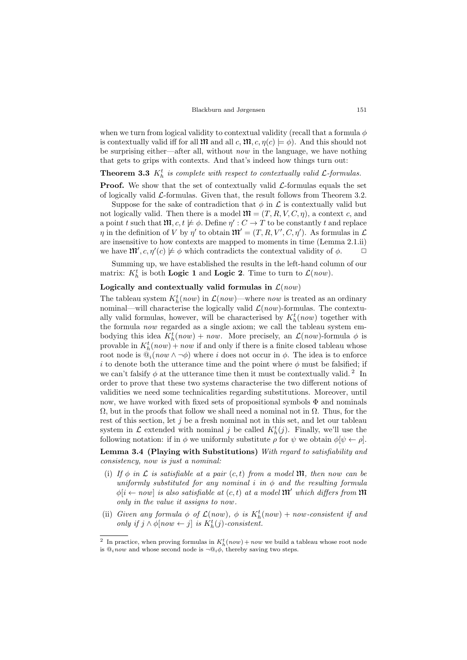when we turn from logical validity to contextual validity (recall that a formula  $\phi$ is contextually valid iff for all  $\mathfrak{M}$  and all c,  $\mathfrak{M}$ , c,  $\eta(c) \models \phi$ ). And this should not be surprising either—after all, without *now* in the language, we have nothing that gets to grips with contexts. And that's indeed how things turn out:

**Theorem 3.3**  $K_h^t$  is complete with respect to contextually valid  $\mathcal{L}$ -formulas.

**Proof.** We show that the set of contextually valid  $\mathcal{L}$ -formulas equals the set of logically valid  $\mathcal{L}$ -formulas. Given that, the result follows from Theorem [3.2.](#page-6-0)

Suppose for the sake of contradiction that  $\phi$  in  $\mathcal L$  is contextually valid but not logically valid. Then there is a model  $\mathfrak{M} = (T, R, V, C, \eta)$ , a context c, and a point t such that  $\mathfrak{M}, c, t \not\models \phi$ . Define  $\eta' : C \to T$  to be constantly t and replace  $\eta$  in the definition of V by  $\eta'$  to obtain  $\mathfrak{M}' = (T, R, V', C, \eta')$ . As formulas in  $\mathcal L$ are insensitive to how contexts are mapped to moments in time (Lemma [2.1.](#page-4-3)[ii\)](#page-4-2) we have  $\mathfrak{m}'$ ,  $c, \eta'(c) \not\models \phi$  which contradicts the contextual validity of  $\phi$ .

Summing up, we have established the results in the left-hand column of our matrix:  $K_h^t$  is both **Logic 1** and **Logic 2**. Time to turn to  $\mathcal{L}(now)$ .

#### Logically and contextually valid formulas in  $\mathcal{L}(now)$

The tableau system  $K_h^t(now)$  in  $\mathcal{L}(now)$ —where now is treated as an ordinary nominal—will characterise the logically valid  $\mathcal{L}(now)$ -formulas. The contextually valid formulas, however, will be characterised by  $K_h^t(now)$  together with the formula now regarded as a single axiom; we call the tableau system embodying this idea  $K_h^t(now) + now$ . More precisely, an  $\mathcal{L}(now)$ -formula  $\phi$  is provable in  $K_h^t(now) + now$  if and only if there is a finite closed tableau whose root node is  $\mathbb{Q}_i(now \wedge \neg \phi)$  where i does not occur in  $\phi$ . The idea is to enforce i to denote both the utterance time and the point where  $\phi$  must be falsified; if we can't falsify  $\phi$  at the utterance time then it must be contextually valid.<sup>[2](#page-7-0)</sup> In order to prove that these two systems characterise the two different notions of validities we need some technicalities regarding substitutions. Moreover, until now, we have worked with fixed sets of propositional symbols  $\Phi$  and nominals  $\Omega$ , but in the proofs that follow we shall need a nominal not in  $\Omega$ . Thus, for the rest of this section, let  $j$  be a fresh nominal not in this set, and let our tableau system in  $\mathcal L$  extended with nominal j be called  $K_h^t(j)$ . Finally, we'll use the following notation: if in  $\phi$  we uniformly substitute  $\rho$  for  $\psi$  we obtain  $\phi[\psi \leftarrow \rho]$ .

<span id="page-7-1"></span>Lemma 3.4 (Playing with Substitutions) With regard to satisfiability and consistency, now is just a nominal:

- (i) If  $\phi$  in  $\mathcal L$  is satisfiable at a pair  $(c, t)$  from a model  $\mathfrak M$ , then now can be uniformly substituted for any nominal i in  $\phi$  and the resulting formula  $\phi[i \leftarrow now]$  is also satisfiable at  $(c, t)$  at a model  $\mathfrak{M}'$  which differs from  $\mathfrak{M}$ only in the value it assigns to now .
- (ii) Given any formula  $\phi$  of  $\mathcal{L}(now)$ ,  $\phi$  is  $K_h^t(now) + now-consistent if and$ only if  $j \wedge \phi[now \leftarrow j]$  is  $K_h^t(j)$ -consistent.

<span id="page-7-0"></span><sup>&</sup>lt;sup>2</sup> In practice, when proving formulas in  $K_h^t(now) + now$  we build a tableau whose root node is  $\mathbb{Q}_i$  now and whose second node is  $\neg \mathbb{Q}_i \phi$ , thereby saving two steps.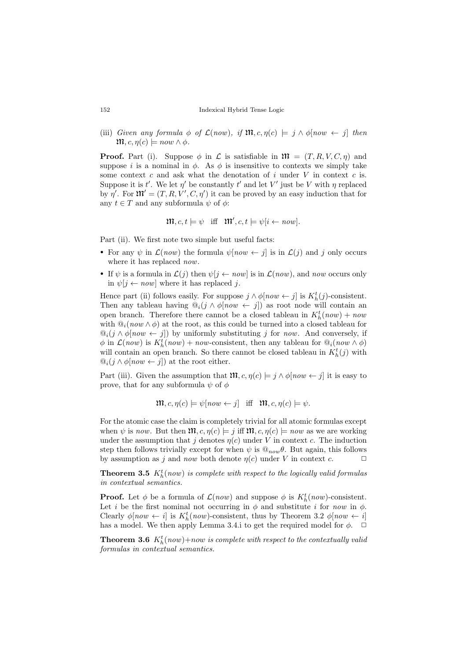(iii) Given any formula  $\phi$  of  $\mathcal{L}(now)$ , if  $\mathfrak{M}, c, \eta(c) \models j \land \phi[now \leftarrow j]$  then  $\mathfrak{M}, c, \eta(c) \models now \wedge \phi.$ 

**Proof.** Part (i). Suppose  $\phi$  in  $\mathcal{L}$  is satisfiable in  $\mathfrak{M} = (T, R, V, C, \eta)$  and suppose i is a nominal in  $\phi$ . As  $\phi$  is insensitive to contexts we simply take some context  $c$  and ask what the denotation of  $i$  under  $V$  in context  $c$  is. Suppose it is t'. We let  $\eta'$  be constantly t' and let V' just be V with  $\eta$  replaced by  $\eta'$ . For  $\mathfrak{M}' = (T, R, V', C, \eta')$  it can be proved by an easy induction that for any  $t \in T$  and any subformula  $\psi$  of  $\phi$ :

$$
\mathfrak{m}, c, t \models \psi \quad \text{iff} \quad \mathfrak{m}', c, t \models \psi[i \leftarrow \text{now}].
$$

Part (ii). We first note two simple but useful facts:

- For any  $\psi$  in  $\mathcal{L}(now)$  the formula  $\psi[now \leftarrow j]$  is in  $\mathcal{L}(j)$  and j only occurs where it has replaced *now*.
- If  $\psi$  is a formula in  $\mathcal{L}(i)$  then  $\psi[i \leftarrow now]$  is in  $\mathcal{L}(now)$ , and now occurs only in  $\psi[i \leftarrow now]$  where it has replaced j.

Hence part (ii) follows easily. For suppose  $j \wedge \phi[now \leftarrow j]$  is  $K_h^t(j)$ -consistent. Then any tableau having  $\mathbb{Q}_i(j \wedge \phi[now \leftarrow j])$  as root node will contain an open branch. Therefore there cannot be a closed tableau in  $K_h^t(now) + now$ with  $\mathbb{Q}_i(now \wedge \phi)$  at the root, as this could be turned into a closed tableau for  $\mathbb{Q}_i(j \wedge \phi[now \leftarrow j])$  by uniformly substituting j for now. And conversely, if  $\phi$  in  $\mathcal{L}(now)$  is  $K^t_h(now) + now$ -consistent, then any tableau for  $\mathbb{Q}_i(now \wedge \phi)$ will contain an open branch. So there cannot be closed tableau in  $K_h^t(j)$  with  $\mathbb{Q}_i(j \wedge \phi[now \leftarrow j])$  at the root either.

Part (iii). Given the assumption that  $\mathfrak{M}, c, \eta(c) \models j \land \phi[now \leftarrow j]$  it is easy to prove, that for any subformula  $\psi$  of  $\phi$ 

$$
\mathfrak{m}, c, \eta(c) \models \psi[now \leftarrow j] \quad \text{iff} \quad \mathfrak{m}, c, \eta(c) \models \psi.
$$

For the atomic case the claim is completely trivial for all atomic formulas except when  $\psi$  is now. But then  $\mathfrak{M}, c, \eta(c) \models i$  iff  $\mathfrak{M}, c, \eta(c) \models now$  as we are working under the assumption that j denotes  $\eta(c)$  under V in context c. The induction step then follows trivially except for when  $\psi$  is  $\mathcal{Q}_{now}\theta$ . But again, this follows by assumption as j and now both denote  $\eta(c)$  under V in context c.  $\Box$ 

**Theorem 3.5**  $K_h^t(now)$  is complete with respect to the logically valid formulas in contextual semantics.

**Proof.** Let  $\phi$  be a formula of  $\mathcal{L}(now)$  and suppose  $\phi$  is  $K_h^t(now)$ -consistent. Let i be the first nominal not occurring in  $\phi$  and substitute i for now in  $\phi$ . Clearly  $\phi[now \leftarrow i]$  is  $K_h^t(now)$ -consistent, thus by Theorem [3.2](#page-6-0)  $\phi[now \leftarrow i]$ has a model. We then apply Lemma [3.4.](#page-7-1)i to get the required model for  $\phi$ .  $\Box$ 

**Theorem 3.6**  $K_h^t(now) + now$  is complete with respect to the contextually valia formulas in contextual semantics.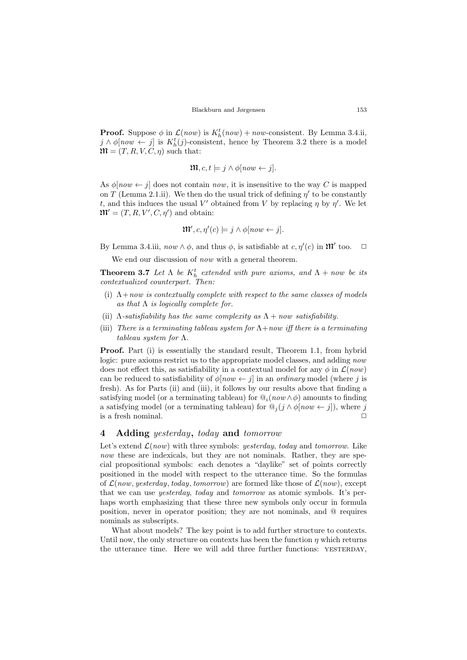**Proof.** Suppose  $\phi$  in  $\mathcal{L}(now)$  is  $K_h^t(now) + now$ -consistent. By Lemma [3.4.](#page-7-1)ii,  $j \wedge \phi[now \leftarrow j]$  is  $K_h^t(j)$ -consistent, hence by Theorem [3.2](#page-6-0) there is a model  $\mathfrak{M} = (T, R, V, C, \eta)$  such that:

$$
\mathfrak{m}, c, t \models j \land \phi \left[ now \leftarrow j \right].
$$

As  $\phi[now \leftarrow j]$  does not contain now, it is insensitive to the way C is mapped on T (Lemma [2.1.](#page-4-3)[ii\)](#page-4-2). We then do the usual trick of defining  $\eta'$  to be constantly t, and this induces the usual V' obtained from V by replacing  $\eta$  by  $\eta'$ . We let  $\mathfrak{M}' = (T, R, V', C, \eta')$  and obtain:

$$
\mathfrak{m}', c, \eta'(c) \models j \land \phi[now \leftarrow j].
$$

By Lemma [3.4.](#page-7-1)iii,  $now \wedge \phi$ , and thus  $\phi$ , is satisfiable at  $c, \eta'(c)$  in  $\mathfrak{M}'$  too.  $\Box$ 

We end our discussion of *now* with a general theorem.

<span id="page-9-3"></span>**Theorem 3.7** Let  $\Lambda$  be  $K_h^t$  extended with pure axioms, and  $\Lambda$  + now be its contextualized counterpart. Then:

- <span id="page-9-0"></span>(i)  $\Lambda$ +now is contextually complete with respect to the same classes of models as that  $\Lambda$  is logically complete for.
- <span id="page-9-1"></span>(ii)  $\Lambda$ -satisfiability has the same complexity as  $\Lambda$  + now satisfiability.
- <span id="page-9-2"></span>(iii) There is a terminating tableau system for  $\Lambda$ +now iff there is a terminating tableau system for Λ.

Proof. Part [\(i\)](#page-9-0) is essentially the standard result, Theorem [1.1,](#page-2-0) from hybrid logic: pure axioms restrict us to the appropriate model classes, and adding *now* does not effect this, as satisfiability in a contextual model for any  $\phi$  in  $\mathcal{L}(now)$ can be reduced to satisfiability of  $\phi$ [now  $\leftarrow j$ ] in an ordinary model (where j is fresh). As for Parts [\(ii\)](#page-9-1) and [\(iii\)](#page-9-2), it follows by our results above that finding a satisfying model (or a terminating tableau) for  $\mathbb{Q}_i(now \wedge \phi)$  amounts to finding a satisfying model (or a terminating tableau) for  $\mathbb{Q}_j(j \wedge \phi \vert now \leftarrow j]$ ), where j is a fresh nominal.  $\Box$ 

## 4 Adding yesterday, today and tomorrow

Let's extend  $\mathcal{L}(now)$  with three symbols: *yesterday*, *today* and *tomorrow*. Like now these are indexicals, but they are not nominals. Rather, they are special propositional symbols: each denotes a "daylike" set of points correctly positioned in the model with respect to the utterance time. So the formulas of  $\mathcal{L}(now, yesterday, today, tomorrow)$  are formed like those of  $\mathcal{L}(now)$ , except that we can use yesterday, today and tomorrow as atomic symbols. It's perhaps worth emphasizing that these three new symbols only occur in formula position, never in operator position; they are not nominals, and @ requires nominals as subscripts.

What about models? The key point is to add further structure to contexts. Until now, the only structure on contexts has been the function  $\eta$  which returns the utterance time. Here we will add three further functions: YESTERDAY,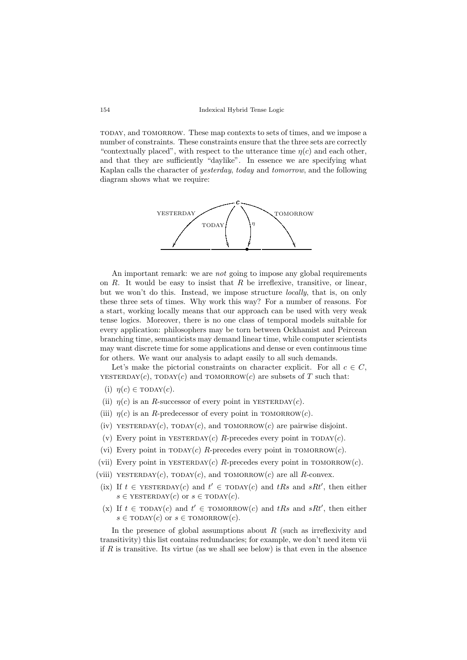today, and tomorrow. These map contexts to sets of times, and we impose a number of constraints. These constraints ensure that the three sets are correctly "contextually placed", with respect to the utterance time  $\eta(c)$  and each other, and that they are sufficiently "daylike". In essence we are specifying what Kaplan calls the character of yesterday, today and tomorrow, and the following diagram shows what we require:



An important remark: we are *not* going to impose any global requirements on  $R$ . It would be easy to insist that  $R$  be irreflexive, transitive, or linear, but we won't do this. Instead, we impose structure locally, that is, on only these three sets of times. Why work this way? For a number of reasons. For a start, working locally means that our approach can be used with very weak tense logics. Moreover, there is no one class of temporal models suitable for every application: philosophers may be torn between Ockhamist and Peircean branching time, semanticists may demand linear time, while computer scientists may want discrete time for some applications and dense or even continuous time for others. We want our analysis to adapt easily to all such demands.

Let's make the pictorial constraints on character explicit. For all  $c \in C$ , YESTERDAY(c), TODAY(c) and TOMORROW(c) are subsets of T such that:

- (i)  $\eta(c) \in \text{TDANY}(c)$ .
- (ii)  $\eta(c)$  is an R-successor of every point in YESTERDAY(c).
- (iii)  $\eta(c)$  is an R-predecessor of every point in TOMORROW $(c)$ .
- (iv) YESTERDAY(c), TODAY(c), and TOMORROW(c) are pairwise disjoint.
- (v) Every point in YESTERDAY(c) R-precedes every point in  $TODAY(c)$ .
- (vi) Every point in  $TODAY(c)$  R-precedes every point in  $TOMORROW(c)$ .
- <span id="page-10-0"></span>(vii) Every point in YESTERDAY(c) R-precedes every point in TOMORROW(c).
- (viii) YESTERDAY(c), TODAY(c), and TOMORROW(c) are all R-convex.
- (ix) If  $t \in \text{YESTERDAY}(c)$  and  $t' \in \text{TODAY}(c)$  and  $tRs$  and  $sRt'$ , then either  $s \in \text{YESTERDAY}(c)$  or  $s \in \text{TODAY}(c)$ .
- (x) If  $t \in \text{TDAY}(c)$  and  $t' \in \text{TONORROW}(c)$  and  $tRs$  and  $sRt'$ , then either  $s \in \text{TDAY}(c)$  or  $s \in \text{TONORROW}(c)$ .

In the presence of global assumptions about  $R$  (such as irreflexivity and transitivity) this list contains redundancies; for example, we don't need item [vii](#page-10-0) if  $R$  is transitive. Its virtue (as we shall see below) is that even in the absence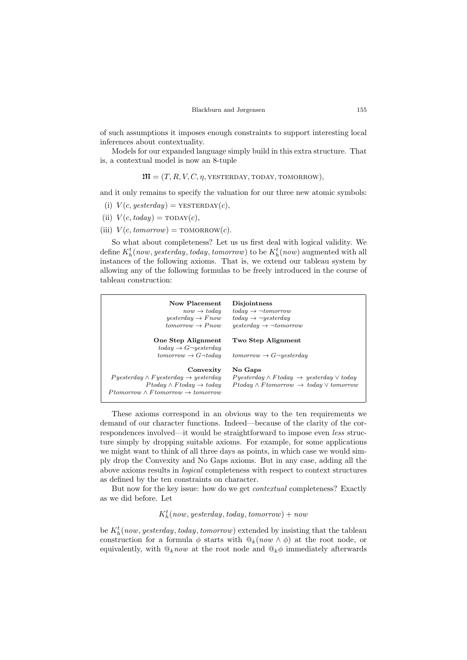of such assumptions it imposes enough constraints to support interesting local inferences about contextuality.

Models for our expanded language simply build in this extra structure. That is, a contextual model is now an 8-tuple

 $\mathfrak{M} = (T, R, V, C, \eta, \text{YESTERDAY}, \text{TODAY}, \text{TOMORROW}).$ 

and it only remains to specify the valuation for our three new atomic symbols:

- (i)  $V(c, y \in \text{seterday}) = \text{YESTERDAY}(c),$
- (ii)  $V(c, today) = \text{TOPAY}(c),$
- (iii)  $V(c, tomorrow) = \text{TONORROW}(c)$ .

So what about completeness? Let us us first deal with logical validity. We define  $K_h^t(now, yesterday, today, tomorrow)$  to be  $K_h^t(now)$  augmented with all instances of the following axioms. That is, we extend our tableau system by allowing any of the following formulas to be freely introduced in the course of tableau construction:

| Now Placement<br>$now \rightarrow today$<br>$tomorrow \rightarrow Pnow$                                                                                                                                     | <b>Disjointness</b><br>$today \rightarrow \neg to morrow$<br>$today \rightarrow \neg yesterday$<br>$y \in \text{seterday} \rightarrow \neg \text{tomorrow}$ |
|-------------------------------------------------------------------------------------------------------------------------------------------------------------------------------------------------------------|-------------------------------------------------------------------------------------------------------------------------------------------------------------|
| One Step Alignment<br>$today \rightarrow G\neg yesterday$<br>$tomorrow \rightarrow G \neg today$                                                                                                            | Two Step Alignment<br>$tomorrow \rightarrow G\neg yesterday$                                                                                                |
| Convexity<br>$P \text{ } y$ esterday $\wedge \text{ } F$ yesterday $\rightarrow \text{ } y$ esterday<br>$P$ today $\wedge$ F today $\rightarrow$ today<br>$Ptomorrow \wedge Fromorrow \rightarrow tomorrow$ | No Gaps<br>$Py \in \text{S}$ $\wedge$ Ftoday $\rightarrow$ yesterday $\vee$ today<br>$P$ today $\land$ F tomorrow $\rightarrow$ today $\lor$ tomorrow       |

These axioms correspond in an obvious way to the ten requirements we demand of our character functions. Indeed—because of the clarity of the correspondences involved—it would be straightforward to impose even less structure simply by dropping suitable axioms. For example, for some applications we might want to think of all three days as points, in which case we would simply drop the Convexity and No Gaps axioms. But in any case, adding all the above axioms results in logical completeness with respect to context structures as defined by the ten constraints on character.

But now for the key issue: how do we get contextual completeness? Exactly as we did before. Let

 $K_h^t(now, yesterday, today, tomorrow) + now$ 

be  $K_h^t$ (now, yesterday, today, tomorrow) extended by insisting that the tableau construction for a formula  $\phi$  starts with  $\mathbb{Q}_k(now \wedge \phi)$  at the root node, or equivalently, with  $\mathbb{Q}_k$  now at the root node and  $\mathbb{Q}_k \phi$  immediately afterwards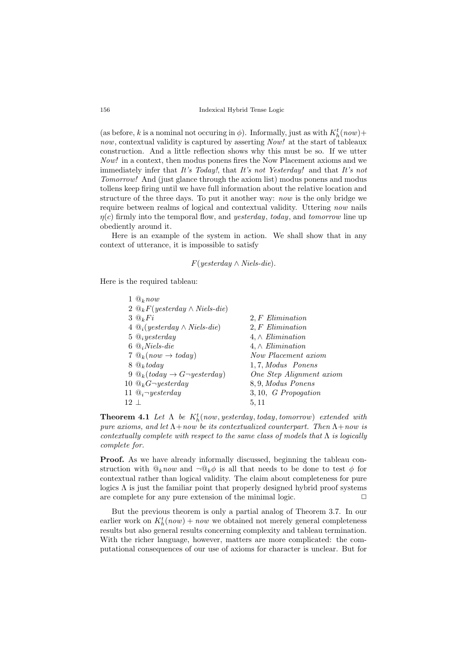(as before, k is a nominal not occuring in  $\phi$ ). Informally, just as with  $K_h^t(now)$ + now, contextual validity is captured by asserting Now! at the start of tableaux construction. And a little reflection shows why this must be so. If we utter Now! in a context, then modus ponens fires the Now Placement axioms and we immediately infer that It's Today!, that It's not Yesterday! and that It's not Tomorrow! And (just glance through the axiom list) modus ponens and modus tollens keep firing until we have full information about the relative location and structure of the three days. To put it another way: now is the only bridge we require between realms of logical and contextual validity. Uttering now nails  $\eta(c)$  firmly into the temporal flow, and *yesterday*, today, and tomorrow line up obediently around it.

Here is an example of the system in action. We shall show that in any context of utterance, it is impossible to satisfy

### $F(westerdam \wedge Niels-die).$

Here is the required tableau:

|            | $\mathbb{Q}_k$ now                              |                          |
|------------|-------------------------------------------------|--------------------------|
|            | 2 $\mathcal{Q}_k F(yesterday \wedge Niels-die)$ |                          |
|            | $3 \mathcal{Q}_k$ Fi                            | 2. F Elimination         |
|            | $4 \mathcal{Q}_i(yesterday \wedge Niels-die)$   | 2. F Elimination         |
|            | $5 \ Q_i$ <i>yesterday</i>                      | $4, \wedge Elimination$  |
|            | $6 \, \mathcal{Q}_i$ Niels-die                  | $4, \wedge Elimination$  |
|            | $7 \mathcal{Q}_k(now \rightarrow today)$        | Now Placement axiom      |
|            | $8 \mathcal{Q}_k$ today                         | 1,7, Modus Ponens        |
|            |                                                 | One Step Alignment axiom |
|            | 10 $\mathbb{Q}_k$ G $\neg$ yesterday            | 8,9, Modus Ponens        |
|            | 11 $\mathcal{Q}_i$ -yesterday                   | $3, 10, G$ Propogation   |
| $12 \perp$ |                                                 | 5.11                     |

**Theorem 4.1** Let  $\Lambda$  be  $K_h^t$ (now, yesterday, today, tomorrow) extended with pure axioms, and let  $\Lambda$ +now be its contextualized counterpart. Then  $\Lambda$ +now is contextually complete with respect to the same class of models that  $\Lambda$  is logically complete for.

Proof. As we have already informally discussed, beginning the tableau construction with  $\mathbb{Q}_k now$  and  $\neg \mathbb{Q}_k \phi$  is all that needs to be done to test  $\phi$  for contextual rather than logical validity. The claim about completeness for pure logics  $\Lambda$  is just the familiar point that properly designed hybrid proof systems are complete for any pure extension of the minimal logic.  $\Box$ 

But the previous theorem is only a partial analog of Theorem [3.7.](#page-9-3) In our earlier work on  $K_h^t(now) + now$  we obtained not merely general completeness results but also general results concerning complexity and tableau termination. With the richer language, however, matters are more complicated: the computational consequences of our use of axioms for character is unclear. But for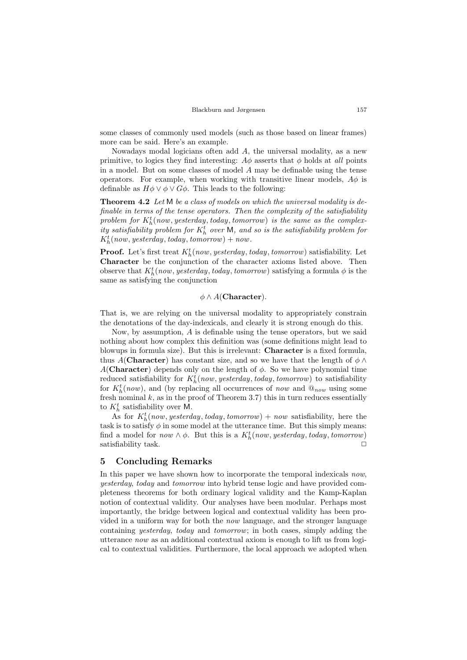some classes of commonly used models (such as those based on linear frames) more can be said. Here's an example.

Nowadays modal logicians often add A, the universal modality, as a new primitive, to logics they find interesting:  $A\phi$  asserts that  $\phi$  holds at all points in a model. But on some classes of model A may be definable using the tense operators. For example, when working with transitive linear models,  $A\phi$  is definable as  $H\phi \vee \phi \vee G\phi$ . This leads to the following:

**Theorem 4.2** Let M be a class of models on which the universal modality is definable in terms of the tense operators. Then the complexity of the satisfiability problem for  $K_h^t$ (now, yesterday, today, tomorrow) is the same as the complexity satisfiability problem for  $K_h^t$  over M, and so is the satisfiability problem for  $K_h^t(now, yesterday, today, tomorrow) + now.$ 

**Proof.** Let's first treat  $K_h^t(now, yesterday, today, tomorrow)$  satisfiability. Let Character be the conjunction of the character axioms listed above. Then observe that  $K_h^t(now, yesterday, today, tomorrow)$  satisfying a formula  $\phi$  is the same as satisfying the conjunction

## $\phi \wedge A$ (Character).

That is, we are relying on the universal modality to appropriately constrain the denotations of the day-indexicals, and clearly it is strong enough do this.

Now, by assumption, A is definable using the tense operators, but we said nothing about how complex this definition was (some definitions might lead to blowups in formula size). But this is irrelevant: Character is a fixed formula, thus A(Character) has constant size, and so we have that the length of  $\phi \wedge$ A(Character) depends only on the length of  $\phi$ . So we have polynomial time reduced satisfiability for  $K_h^t(now, yesterday, today, tomorrow)$  to satisfiability for  $K_h^t(now)$ , and (by replacing all occurrences of now and  $\mathbb{Q}_{now}$  using some fresh nominal  $k$ , as in the proof of Theorem [3.7\)](#page-9-3) this in turn reduces essentially to  $K_h^t$  satisfiability over M.

As for  $K_h^t(now, yesterday, today, tomorrow) + now satisfiability, here the$ task is to satisfy  $\phi$  in some model at the utterance time. But this simply means: find a model for now  $\wedge \phi$ . But this is a  $K_h^t(now, yesterday, today, tomorrow)$ satisfiability task.  $\Box$ 

## 5 Concluding Remarks

In this paper we have shown how to incorporate the temporal indexicals now, yesterday, today and tomorrow into hybrid tense logic and have provided completeness theorems for both ordinary logical validity and the Kamp-Kaplan notion of contextual validity. Our analyses have been modular. Perhaps most importantly, the bridge between logical and contextual validity has been provided in a uniform way for both the now language, and the stronger language containing yesterday, today and tomorrow; in both cases, simply adding the utterance now as an additional contextual axiom is enough to lift us from logical to contextual validities. Furthermore, the local approach we adopted when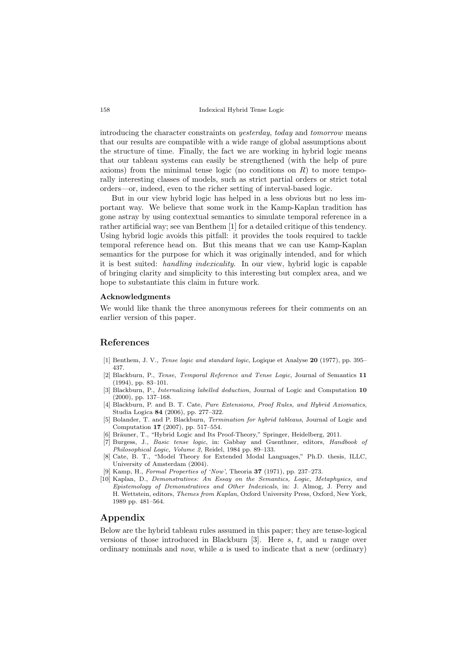introducing the character constraints on yesterday, today and tomorrow means that our results are compatible with a wide range of global assumptions about the structure of time. Finally, the fact we are working in hybrid logic means that our tableau systems can easily be strengthened (with the help of pure axioms) from the minimal tense logic (no conditions on  $R$ ) to more temporally interesting classes of models, such as strict partial orders or strict total orders—or, indeed, even to the richer setting of interval-based logic.

But in our view hybrid logic has helped in a less obvious but no less important way. We believe that some work in the Kamp-Kaplan tradition has gone astray by using contextual semantics to simulate temporal reference in a rather artificial way; see van Benthem [\[1\]](#page-14-9) for a detailed critique of this tendency. Using hybrid logic avoids this pitfall: it provides the tools required to tackle temporal reference head on. But this means that we can use Kamp-Kaplan semantics for the purpose for which it was originally intended, and for which it is best suited: handling indexicality. In our view, hybrid logic is capable of bringing clarity and simplicity to this interesting but complex area, and we hope to substantiate this claim in future work.

#### Acknowledgments

We would like thank the three anonymous referees for their comments on an earlier version of this paper.

## References

- <span id="page-14-9"></span>[1] Benthem, J. V., Tense logic and standard logic, Logique et Analyse 20 (1977), pp. 395– 437.
- <span id="page-14-2"></span>[2] Blackburn, P., Tense, Temporal Reference and Tense Logic, Journal of Semantics 11 (1994), pp. 83–101.
- <span id="page-14-5"></span>[3] Blackburn, P., Internalizing labelled deduction, Journal of Logic and Computation 10 (2000), pp. 137–168.
- <span id="page-14-3"></span>[4] Blackburn, P. and B. T. Cate, Pure Extensions, Proof Rules, and Hybrid Axiomatics, Studia Logica 84 (2006), pp. 277–322.
- <span id="page-14-6"></span>[5] Bolander, T. and P. Blackburn, Termination for hybrid tableaus, Journal of Logic and Computation 17 (2007), pp. 517–554.
- <span id="page-14-4"></span>[6] Bräuner, T., "Hybrid Logic and Its Proof-Theory," Springer, Heidelberg, 2011.
- <span id="page-14-7"></span>[7] Burgess, J., Basic tense logic, in: Gabbay and Guenthner, editors, Handbook of Philosophical Logic, Volume 2, Reidel, 1984 pp. 89–133.
- <span id="page-14-8"></span>[8] Cate, B. T., "Model Theory for Extended Modal Languages," Ph.D. thesis, ILLC, University of Amsterdam (2004).
- <span id="page-14-0"></span>[9] Kamp, H., Formal Properties of 'Now', Theoria 37 (1971), pp. 237–273.
- <span id="page-14-1"></span>[10] Kaplan, D., Demonstratives: An Essay on the Semantics, Logic, Metaphysics, and Epistemology of Demonstratives and Other Indexicals, in: J. Almog, J. Perry and H. Wettstein, editors, Themes from Kaplan, Oxford University Press, Oxford, New York, 1989 pp. 481–564.

## Appendix

Below are the hybrid tableau rules assumed in this paper; they are tense-logical versions of those introduced in Blackburn [\[3\]](#page-14-5). Here  $s, t$ , and  $u$  range over ordinary nominals and now, while  $\alpha$  is used to indicate that a new (ordinary)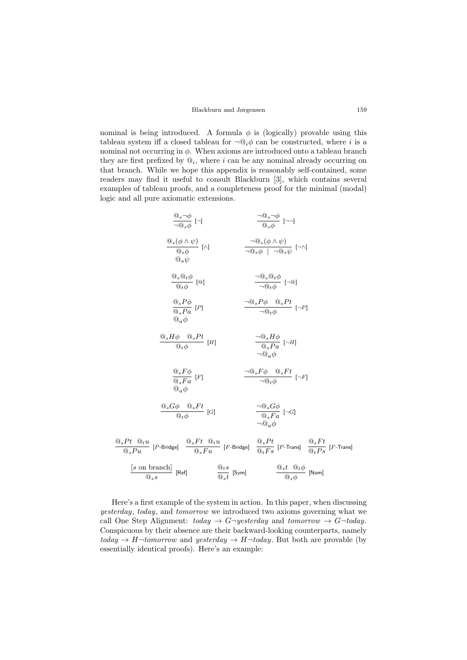#### Blackburn and Jørgensen 159

nominal is being introduced. A formula  $\phi$  is (logically) provable using this tableau system iff a closed tableau for  $\neg \mathbb{Q}_i \phi$  can be constructed, where i is a nominal not occurring in  $\phi$ . When axioms are introduced onto a tableau branch they are first prefixed by  $\mathbb{Q}_i$ , where i can be any nominal already occurring on that branch. While we hope this appendix is reasonably self-contained, some readers may find it useful to consult Blackburn [\[3\]](#page-14-5), which contains several examples of tableau proofs, and a completeness proof for the minimal (modal) logic and all pure axiomatic extensions.

| $\frac{@_{s}\neg\phi}{\neg @_{s}\phi}$ [¬]                                                                                       | $\frac{\neg @_{s} \neg \phi}{\textcircled{a}_{s} \phi} \varphi$                                                                                                                                                                                                                                                                         |
|----------------------------------------------------------------------------------------------------------------------------------|-----------------------------------------------------------------------------------------------------------------------------------------------------------------------------------------------------------------------------------------------------------------------------------------------------------------------------------------|
| $\frac{@_{s}(\phi\wedge\psi)}{@_{s}\phi}$ [^]<br>$@_{s}\psi$                                                                     | $\frac{\neg \mathbb{Q}_s(\phi \land \psi)}{\neg \mathbb{Q}_s \phi \quad   \quad \neg \mathbb{Q}_s \psi}$ [ $\neg \land$ ]                                                                                                                                                                                                               |
| $\frac{\textcircled{\tiny 0}_s\textcircled{\tiny 0}_t\phi}{\textcircled{\tiny 0}_t\phi}$ [@]                                     | $\frac{\neg \mathbb{Q}_s \mathbb{Q}_t \phi}{\neg \mathbb{Q}_t \phi} [\neg \mathbb{Q}]$                                                                                                                                                                                                                                                  |
| $\frac{{@_{s}}P\phi}{{@_{s}}Pa}$ [P]<br>$@_{a}\phi$                                                                              | $\frac{\neg \mathbb{Q}_s P \phi \quad \mathbb{Q}_s P t}{\neg \mathbb{Q}_t \phi} \ [\neg P]$                                                                                                                                                                                                                                             |
| $\frac{\textcircled{\scriptsize{0}}_{s}H\phi\quad \textcircled{\scriptsize{0}}_{s}Pt}{\textcircled{\scriptsize{0}}_{t}\phi}$ [H] | $\frac{\neg \mathbb{Q}_s H \phi}{\mathbb{Q}_s Pa} [\neg H]$<br>$\neg$ Q <sub>a</sub> $\phi$                                                                                                                                                                                                                                             |
| $\frac{@sF\phi}{@sFa}$ [F]<br>$@_{a}\phi$                                                                                        | $\frac{\neg \mathbb{Q}_s F \phi \quad \mathbb{Q}_s F t}{\neg \mathbb{Q}_t \phi} \ [\neg F]$                                                                                                                                                                                                                                             |
| $\frac{{@_{s}G\phi \quad @_{s}Ft}}{@_{t}\phi} \ [G]$                                                                             | $\frac{\neg \mathbb{Q}_s G \phi}{\mathbb{Q}_s Fa} [\neg G]$<br>$\neg$ <b>Q</b> <sub>a</sub> $\phi$                                                                                                                                                                                                                                      |
|                                                                                                                                  | $\frac{{@_s}Pt}{@_sPu}\text{ } \left[ P\text{-Bridge} \right] \quad \frac{{@_s}Ft}{@_sFu}\text{ } \left[ F\text{-Bridge} \right] \quad \frac{{@_s}Pt}{@_sFx}\text{ } \left[ P\text{-Trans} \right] \quad \frac{{@_s}Ft}{@_tFs}\text{ } \left[ P\text{-Trans} \right] \quad \frac{{@_s}Ft}{@_tPs}\text{ } \left[ F\text{-Trans} \right]$ |
| $\frac{[s \text{ on branch}]}{\mathbb{Q}_s s}$ [Ref]                                                                             | $\frac{\mathbb{Q}_t s}{\mathbb{Q}_s t}$ [Sym] $\frac{\mathbb{Q}_s t}{\mathbb{Q}_s \phi}$ [Nom]                                                                                                                                                                                                                                          |

Here's a first example of the system in action. In this paper, when discussing yesterday, today, and tomorrow we introduced two axioms governing what we call One Step Alignment:  $today \rightarrow G\rightarrow y \rightarrow g$  and  $tomorrow \rightarrow G\rightarrow today$ . Conspicuous by their absence are their backward-looking counterparts, namely  $today \rightarrow H \rightarrow to morrow$  and  $y \rightarrow H \rightarrow to day$ . But both are provable (by essentially identical proofs). Here's an example: